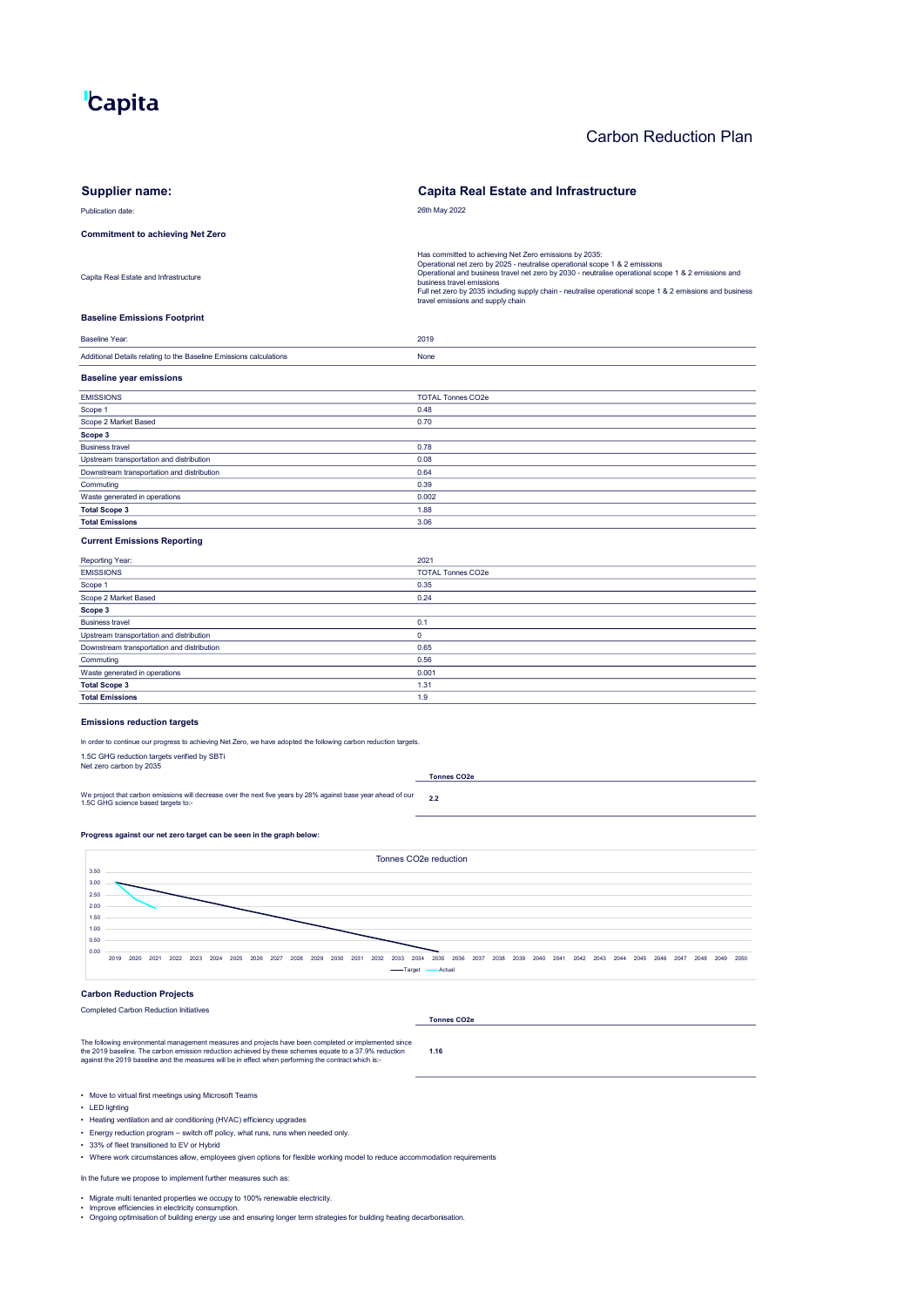# **"Capita**

# Carbon Reduction Plan

| <b>Supplier name:</b>                                                                                                                                                                                                                                                                                                   | <b>Capita Real Estate and Infrastructure</b>                                                                                                                                                                                                                                                                                                                                                                               |
|-------------------------------------------------------------------------------------------------------------------------------------------------------------------------------------------------------------------------------------------------------------------------------------------------------------------------|----------------------------------------------------------------------------------------------------------------------------------------------------------------------------------------------------------------------------------------------------------------------------------------------------------------------------------------------------------------------------------------------------------------------------|
| Publication date:                                                                                                                                                                                                                                                                                                       | 26th May 2022                                                                                                                                                                                                                                                                                                                                                                                                              |
| <b>Commitment to achieving Net Zero</b>                                                                                                                                                                                                                                                                                 |                                                                                                                                                                                                                                                                                                                                                                                                                            |
| Capita Real Estate and Infrastructure                                                                                                                                                                                                                                                                                   | Has committed to achieving Net Zero emissions by 2035:<br>Operational net zero by 2025 - neutralise operational scope 1 & 2 emissions<br>Operational and business travel net zero by 2030 - neutralise operational scope 1 & 2 emissions and<br>business travel emissions<br>Full net zero by 2035 including supply chain - neutralise operational scope 1 & 2 emissions and business<br>travel emissions and supply chain |
| <b>Baseline Emissions Footprint</b>                                                                                                                                                                                                                                                                                     |                                                                                                                                                                                                                                                                                                                                                                                                                            |
| <b>Baseline Year:</b>                                                                                                                                                                                                                                                                                                   | 2019                                                                                                                                                                                                                                                                                                                                                                                                                       |
| Additional Details relating to the Baseline Emissions calculations                                                                                                                                                                                                                                                      | None                                                                                                                                                                                                                                                                                                                                                                                                                       |
| <b>Baseline year emissions</b>                                                                                                                                                                                                                                                                                          |                                                                                                                                                                                                                                                                                                                                                                                                                            |
| <b>EMISSIONS</b>                                                                                                                                                                                                                                                                                                        | <b>TOTAL Tonnes CO2e</b>                                                                                                                                                                                                                                                                                                                                                                                                   |
| Scope 1                                                                                                                                                                                                                                                                                                                 | 0.48                                                                                                                                                                                                                                                                                                                                                                                                                       |
| Scope 2 Market Based                                                                                                                                                                                                                                                                                                    | 0.70                                                                                                                                                                                                                                                                                                                                                                                                                       |
| Scope 3                                                                                                                                                                                                                                                                                                                 |                                                                                                                                                                                                                                                                                                                                                                                                                            |
| <b>Business travel</b><br>Upstream transportation and distribution                                                                                                                                                                                                                                                      | 0.78<br>0.08                                                                                                                                                                                                                                                                                                                                                                                                               |
| Downstream transportation and distribution                                                                                                                                                                                                                                                                              | 0.64                                                                                                                                                                                                                                                                                                                                                                                                                       |
| Commuting                                                                                                                                                                                                                                                                                                               | 0.39                                                                                                                                                                                                                                                                                                                                                                                                                       |
| Waste generated in operations                                                                                                                                                                                                                                                                                           | 0.002                                                                                                                                                                                                                                                                                                                                                                                                                      |
| <b>Total Scope 3</b>                                                                                                                                                                                                                                                                                                    | 1.88                                                                                                                                                                                                                                                                                                                                                                                                                       |
| <b>Total Emissions</b>                                                                                                                                                                                                                                                                                                  | 3.06                                                                                                                                                                                                                                                                                                                                                                                                                       |
| <b>Current Emissions Reporting</b>                                                                                                                                                                                                                                                                                      |                                                                                                                                                                                                                                                                                                                                                                                                                            |
| Reporting Year:                                                                                                                                                                                                                                                                                                         | 2021                                                                                                                                                                                                                                                                                                                                                                                                                       |
| <b>EMISSIONS</b>                                                                                                                                                                                                                                                                                                        | <b>TOTAL Tonnes CO2e</b>                                                                                                                                                                                                                                                                                                                                                                                                   |
| Scope 1                                                                                                                                                                                                                                                                                                                 | 0.35                                                                                                                                                                                                                                                                                                                                                                                                                       |
| Scope 2 Market Based                                                                                                                                                                                                                                                                                                    | 0.24                                                                                                                                                                                                                                                                                                                                                                                                                       |
| Scope 3<br><b>Business travel</b>                                                                                                                                                                                                                                                                                       | 0.1                                                                                                                                                                                                                                                                                                                                                                                                                        |
| Upstream transportation and distribution                                                                                                                                                                                                                                                                                | 0                                                                                                                                                                                                                                                                                                                                                                                                                          |
| Downstream transportation and distribution                                                                                                                                                                                                                                                                              | 0.65                                                                                                                                                                                                                                                                                                                                                                                                                       |
| Commuting                                                                                                                                                                                                                                                                                                               | 0.56                                                                                                                                                                                                                                                                                                                                                                                                                       |
| Waste generated in operations                                                                                                                                                                                                                                                                                           | 0.001                                                                                                                                                                                                                                                                                                                                                                                                                      |
| <b>Total Scope 3</b>                                                                                                                                                                                                                                                                                                    | 1.31                                                                                                                                                                                                                                                                                                                                                                                                                       |
| <b>Total Emissions</b>                                                                                                                                                                                                                                                                                                  | 1.9                                                                                                                                                                                                                                                                                                                                                                                                                        |
| <b>Emissions reduction targets</b>                                                                                                                                                                                                                                                                                      |                                                                                                                                                                                                                                                                                                                                                                                                                            |
| In order to continue our progress to achieving Net Zero, we have adopted the following carbon reduction targets.                                                                                                                                                                                                        |                                                                                                                                                                                                                                                                                                                                                                                                                            |
| 1.5C GHG reduction targets verified by SBTi                                                                                                                                                                                                                                                                             |                                                                                                                                                                                                                                                                                                                                                                                                                            |
| Net zero carbon by 2035                                                                                                                                                                                                                                                                                                 | <b>Tonnes CO2e</b>                                                                                                                                                                                                                                                                                                                                                                                                         |
| We project that carbon emissions will decrease over the next five years by 28% against base year ahead of our                                                                                                                                                                                                           | 2.2                                                                                                                                                                                                                                                                                                                                                                                                                        |
| 1.5C GHG science based targets to:-                                                                                                                                                                                                                                                                                     |                                                                                                                                                                                                                                                                                                                                                                                                                            |
| Progress against our net zero target can be seen in the graph below:                                                                                                                                                                                                                                                    |                                                                                                                                                                                                                                                                                                                                                                                                                            |
| Tonnes CO2e reduction                                                                                                                                                                                                                                                                                                   |                                                                                                                                                                                                                                                                                                                                                                                                                            |
| 3.50                                                                                                                                                                                                                                                                                                                    |                                                                                                                                                                                                                                                                                                                                                                                                                            |
| 3.00<br>2.50                                                                                                                                                                                                                                                                                                            |                                                                                                                                                                                                                                                                                                                                                                                                                            |
| 2.00                                                                                                                                                                                                                                                                                                                    |                                                                                                                                                                                                                                                                                                                                                                                                                            |
| 1.50                                                                                                                                                                                                                                                                                                                    |                                                                                                                                                                                                                                                                                                                                                                                                                            |
| 1.00                                                                                                                                                                                                                                                                                                                    |                                                                                                                                                                                                                                                                                                                                                                                                                            |
| 0.50                                                                                                                                                                                                                                                                                                                    |                                                                                                                                                                                                                                                                                                                                                                                                                            |
| 0.00<br>2026 2027 2028 2029 2030 2031 2032<br>2019<br>2020 2021<br>2022 2023<br>2024<br>2025<br>2033<br>-Target                                                                                                                                                                                                         | 2035 2036 2037 2038 2039<br>2034<br>2040 2041 2042 2043 2044 2045 2046 2047 2048 2049 2050<br>Actual                                                                                                                                                                                                                                                                                                                       |
| <b>Carbon Reduction Projects</b>                                                                                                                                                                                                                                                                                        |                                                                                                                                                                                                                                                                                                                                                                                                                            |
| <b>Completed Carbon Reduction Initiatives</b>                                                                                                                                                                                                                                                                           |                                                                                                                                                                                                                                                                                                                                                                                                                            |
|                                                                                                                                                                                                                                                                                                                         | <b>Tonnes CO2e</b>                                                                                                                                                                                                                                                                                                                                                                                                         |
| The following environmental management measures and projects have been completed or implemented since<br>the 2019 baseline. The carbon emission reduction achieved by these schemes equate to a 37.9% reduction<br>against the 2019 baseline and the measures will be in effect when performing the contract which is:- | 1.16                                                                                                                                                                                                                                                                                                                                                                                                                       |
| • Move to virtual first meetings using Microsoft Teams<br>• LED lighting                                                                                                                                                                                                                                                |                                                                                                                                                                                                                                                                                                                                                                                                                            |

- Heating ventilation and air conditioning (HVAC) efficiency upgrades
- Energy reduction program switch off policy, what runs, runs when needed only.
- 33% of fleet transitioned to EV or Hybrid
- Where work circumstances allow, employees given options for flexible working model to reduce accommodation requirements
- In the future we propose to implement further measures such as:
- 
- 
- Migrate multi tenanted properties we occupy to 100% renewable electricity.<br>• Improve efficiencies in electricity consumption.<br>• Ongoing optimisation of building energy use and ensuring longer term strategies for buildin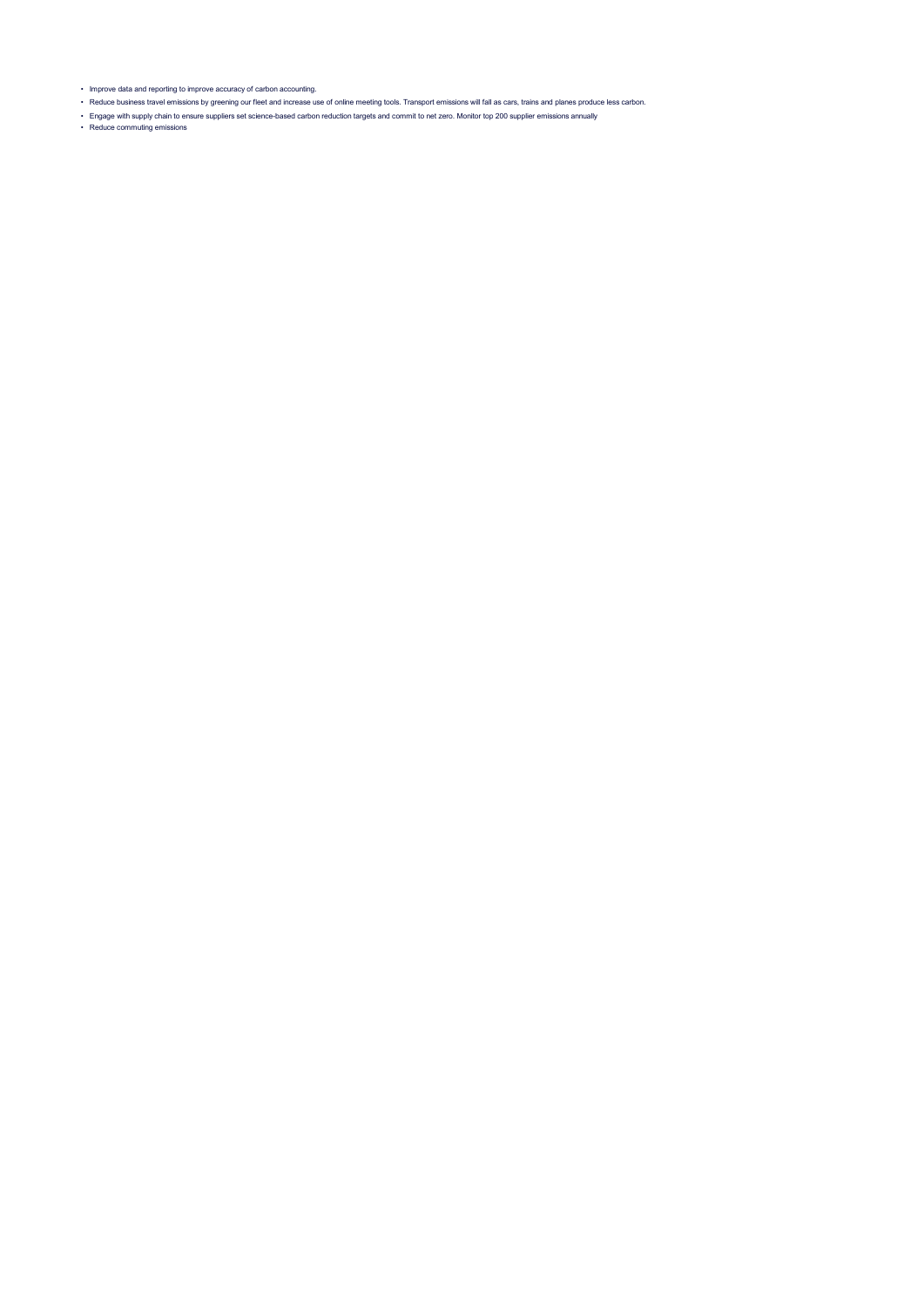• Improve data and reporting to improve accuracy of carbon accounting.

- Reduce business travel emissions by greening our fleet and increase use of online meeting tools. Transport emissions will fall as cars, trains and planes produce less carbon.
- Engage with supply chain to ensure suppliers set science-based carbon reduction targets and commit to net zero. Monitor top 200 supplier emissions annually<br>• Reduce commuting emissions